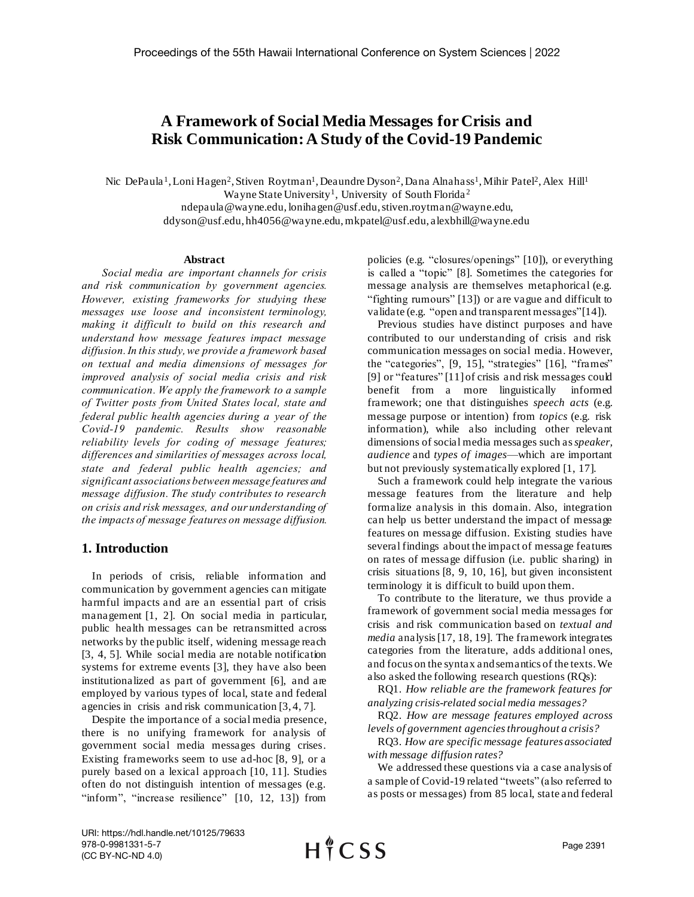# **A Framework of Social Media Messages forCrisis and Risk Communication: A Study of the Covid-19 Pandemic**

Nic DePaula<sup>1</sup>, Loni Hagen<sup>2</sup>, Stiven Roytman<sup>1</sup>, Deaundre Dyson<sup>2</sup>, Dana Alnahass<sup>1</sup>, Mihir Patel<sup>2</sup>, Alex Hill<sup>1</sup> Wayne State University<sup>1</sup>, University of South Florida<sup>2</sup>

> ndepaula@wayne.edu, lonihagen@usf.edu, stiven.roytman@wayne.edu, ddyson@usf.edu, hh4056@wayne.edu, mkpatel@usf.edu, alexbhill@wayne.edu

#### **Abstract**

*Social media are important channels for crisis and risk communication by government agencies. However, existing frameworks for studying these messages use loose and inconsistent terminology, making it difficult to build on this research and understand how message features impact message diffusion. In this study, we provide a framework based on textual and media dimensions of messages for improved analysis of social media crisis and risk communication. We apply the framework to a sample of Twitter posts from United States local, state and federal public health agencies during a year of the Covid-19 pandemic. Results show reasonable reliability levels for coding of message features; differences and similarities of messages across local, state and federal public health agencies; and significant associations between message features and message diffusion. The study contributes to research on crisis and risk messages, and our understanding of the impacts of message features on message diffusion.*

### **1. Introduction**

In periods of crisis, reliable information and communication by government agencies can mitigate harmful impacts and are an essential part of crisis management [1, 2]. On social media in particular, public health messages can be retransmitted across networks by the public itself, widening message reach [3, 4, 5]. While social media are notable notification systems for extreme events [3], they have also been institutionalized as part of government [6], and are employed by various types of local, state and federal agencies in crisis and risk communication [3, 4, 7].

Despite the importance of a social media presence, there is no unifying framework for analysis of government social media messages during crises. Existing frameworks seem to use ad-hoc [8, 9], or a purely based on a lexical approach [10, 11]. Studies often do not distinguish intention of messages (e.g. "inform", "increase resilience" [10, 12, 13]) from

policies (e.g. "closures/openings" [10]), or everything is called a "topic" [8]. Sometimes the categories for message analysis are themselves metaphorical (e.g. "fighting rumours" [13]) or are vague and difficult to validate (e.g. "open and transparent messages"[14]).

Previous studies have distinct purposes and have contributed to our understanding of crisis and risk communication messages on social media. However, the "categories", [9, 15], "strategies" [16], "frames" [9] or "features" [11] of crisis and risk messages could benefit from a more linguistically informed framework; one that distinguishes *speech acts* (e.g. message purpose or intention) from *topics* (e.g. risk information), while also including other relevant dimensions of social media messages such as *speaker, audience* and *types of images*—which are important but not previously systematically explored [1, 17]*.* 

Such a framework could help integrate the various message features from the literature and help formalize analysis in this domain. Also, integration can help us better understand the impact of message features on message diffusion. Existing studies have several findings about the impact of message features on rates of message diffusion (i.e. public sharing) in crisis situations [8, 9, 10, 16], but given inconsistent terminology it is difficult to build upon them.

To contribute to the literature, we thus provide a framework of government social media messages for crisis and risk communication based on *textual and media* analysis [17, 18, 19]. The framework integrates categories from the literature, adds additional ones, and focus on the syntax and semantics of the texts. We also asked the following research questions (RQs):

RQ1. *How reliable are the framework features for analyzing crisis-related social media messages?*

RQ2. *How are message features employed across levels of government agenciesthroughout a crisis?*

RQ3. *How are specific message features associated with message diffusion rates?*

We addressed these questions via a case analysis of a sample of Covid-19 related "tweets" (also referred to as posts or messages) from 85 local, state and federal

URI: https://hdl.handle.net/10125/79633 978-0-9981331-5-7 (CC BY-NC-ND 4.0)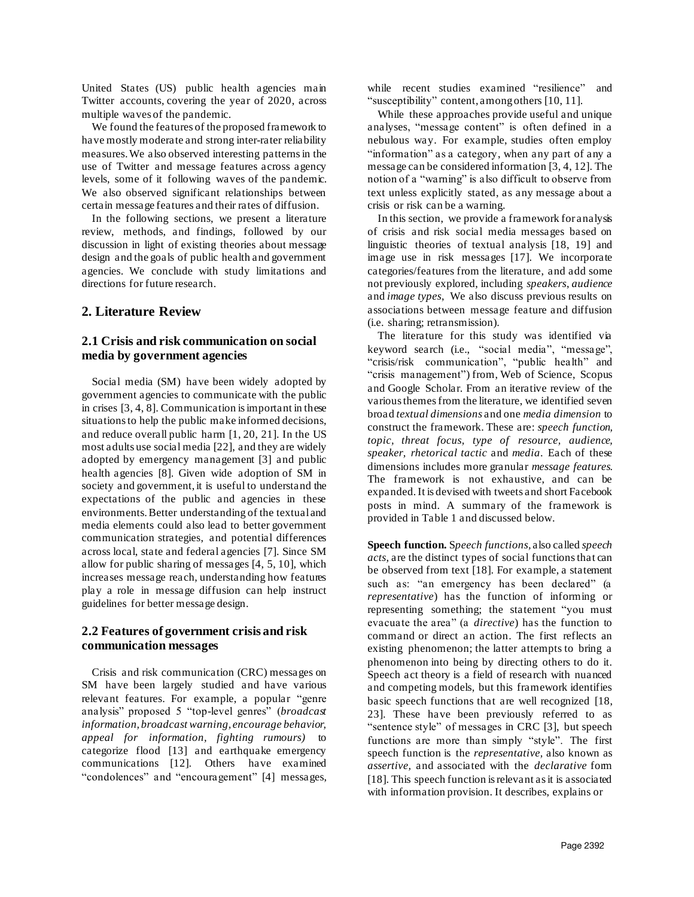United States (US) public health agencies main Twitter accounts, covering the year of 2020, across multiple waves of the pandemic.

We found the features of the proposed framework to have mostly moderate and strong inter-rater reliability measures. We also observed interesting patterns in the use of Twitter and message features across agency levels, some of it following waves of the pandemic. We also observed significant relationships between certain message features and their rates of diffusion.

In the following sections, we present a literature review, methods, and findings, followed by our discussion in light of existing theories about message design and the goals of public health and government agencies. We conclude with study limitations and directions for future research.

# **2. Literature Review**

# **2.1 Crisis and risk communication on social media by government agencies**

Social media (SM) have been widely adopted by government agencies to communicate with the public in crises [3, 4, 8]. Communication is important in these situations to help the public make informed decisions, and reduce overall public harm [1, 20, 21]. In the US most adults use social media [22], and they are widely adopted by emergency management [3] and public health agencies [8]. Given wide adoption of SM in society and government, it is useful to understand the expectations of the public and agencies in these environments. Better understanding of the textual and media elements could also lead to better government communication strategies, and potential differences across local, state and federal agencies [7]. Since SM allow for public sharing of messages [4, 5, 10], which increases message reach, understanding how features play a role in message diffusion can help instruct guidelines for better message design.

# **2.2 Features of government crisis and risk communication messages**

Crisis and risk communication (CRC) messages on SM have been largely studied and have various relevant features. For example, a popular "genre analysis" proposed 5 "top-level genres" (*broadcast information, broadcast warning, encourage behavior, appeal for information, fighting rumours)* to categorize flood [13] and earthquake emergency communications [12]. Others have examined "condolences" and "encouragement" [4] messages, while recent studies examined "resilience" and "susceptibility" content, among others [10, 11].

While these approaches provide useful and unique analyses, "message content" is often defined in a nebulous way. For example, studies often employ "information" as a category, when any part of any a message can be considered information [3, 4, 12]. The notion of a "warning" is also difficult to observe from text unless explicitly stated, as any message about a crisis or risk can be a warning.

In this section, we provide a framework for analysis of crisis and risk social media messages based on linguistic theories of textual analysis [18, 19] and image use in risk messages [17]. We incorporate categories/features from the literature, and add some not previously explored, including *speakers*, *audience* and *image types*, We also discuss previous results on associations between message feature and diffusion (i.e. sharing; retransmission).

The literature for this study was identified via keyword search (i.e., "social media", "message", "crisis/risk communication", "public health" and "crisis management") from, Web of Science, Scopus and Google Scholar. From an iterative review of the various themesfrom the literature, we identified seven broad *textual dimensions* and one *media dimension* to construct the framework. These are: *speech function, topic, threat focus, type of resource, audience, speaker, rhetorical tactic* and *media*. Each of these dimensions includes more granular *message features*. The framework is not exhaustive, and can be expanded.It is devised with tweets and short Facebook posts in mind. A summary of the framework is provided in Table 1 and discussed below.

**Speech function.** S*peech functions,* also called *speech acts,* are the distinct types of social functions that can be observed from text [18]. For example, a statement such as: "an emergency has been declared" (a *representative*) has the function of informing or representing something; the statement "you must evacuate the area" (a *directive*) has the function to command or direct an action. The first reflects an existing phenomenon; the latter attempts to bring a phenomenon into being by directing others to do it. Speech act theory is a field of research with nuanced and competing models, but this framework identifies basic speech functions that are well recognized [18, 23]. These have been previously referred to as "sentence style" of messages in CRC [3], but speech functions are more than simply "style". The first speech function is the *representative,* also known as *assertive,* and associated with the *declarative* form [18]. This speech function is relevant as it is associated with information provision. It describes, explains or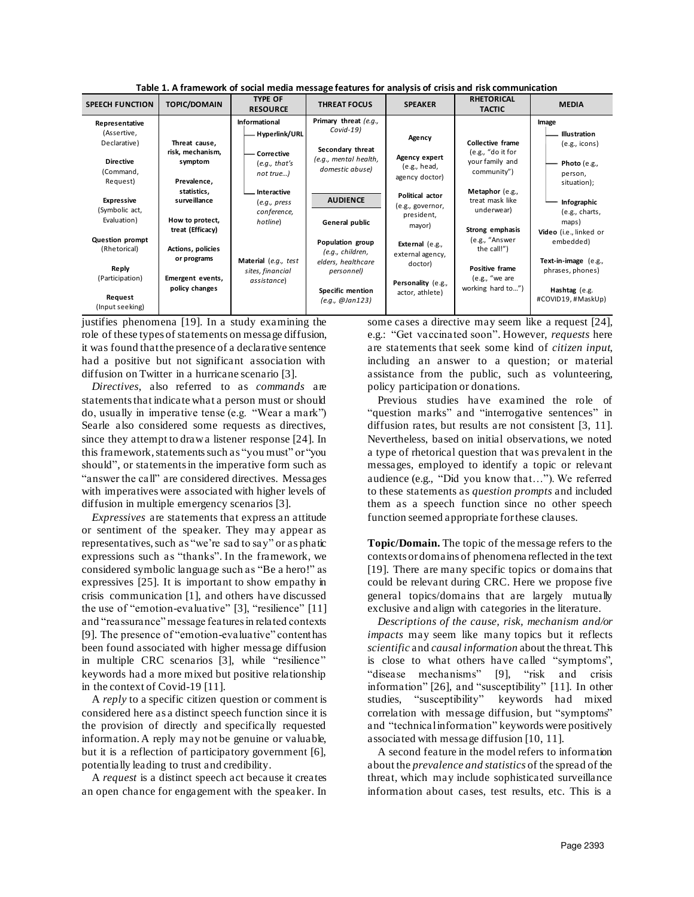| <b>SPEECH FUNCTION</b>                                                                           | <b>TOPIC/DOMAIN</b>                                                    | <b>TYPE OF</b><br><b>RESOURCE</b>                                          | <b>THREAT FOCUS</b>                                                                                                          | <b>SPEAKER</b>                                                                          | <b>RHETORICAL</b><br><b>TACTIC</b>                                                     | <b>MEDIA</b>                                                                                |
|--------------------------------------------------------------------------------------------------|------------------------------------------------------------------------|----------------------------------------------------------------------------|------------------------------------------------------------------------------------------------------------------------------|-----------------------------------------------------------------------------------------|----------------------------------------------------------------------------------------|---------------------------------------------------------------------------------------------|
| Representative<br>(Assertive,<br>Declarative)<br><b>Directive</b><br>(Command,<br>Request)       | Threat cause,<br>risk, mechanism,<br>symptom<br>Prevalence,            | Informational<br>Hyperlink/URL<br>Corrective<br>(e.g., that's<br>not true) | Primary threat (e.g.,<br>$Covid-19$<br>Secondary threat<br>(e.g., mental health,<br>domestic abuse)                          | Agency<br>Agency expert<br>(e.g., head,<br>agency doctor)                               | Collective frame<br>(e.g., "do it for<br>your family and<br>community")                | Image<br>Illustration<br>$(e.g.,$ icons)<br>Photo $(e.g.,$<br>person,<br>situation);        |
| <b>Expressive</b><br>(Symbolic act,<br>Evaluation)                                               | statistics.<br>surveillance<br>How to protect,<br>treat (Efficacy)     | Interactive<br>(e.g., press<br>conference,<br>hotline)                     | <b>AUDIENCE</b><br>General public                                                                                            | Political actor<br>(e.g., governor,<br>president,<br>mayor)                             | Metaphor (e.g.,<br>treat mask like<br>underwear)<br>Strong emphasis                    | Infographic<br>(e.g., charts,<br>maps)<br>Video (i.e., linked or                            |
| <b>Question prompt</b><br>(Rhetorical)<br>Reply<br>(Participation)<br>Request<br>(Input seeking) | Actions, policies<br>or programs<br>Emergent events,<br>policy changes | Material (e.g., test<br>sites, financial<br>assistance)                    | Population group<br>(e.g., children,<br>elders, healthcare<br>personnel)<br>Specific mention<br>$(e.g., \mathcal{Q}$ Jan123) | External (e.g.,<br>external agency,<br>doctor)<br>Personality (e.g.,<br>actor, athlete) | (e.g., "Answer<br>the call!")<br>Positive frame<br>(e.g., "we are<br>working hard to") | embedded)<br>Text-in-image (e.g.,<br>phrases, phones)<br>Hashtag (e.g.<br>#COVID19,#MaskUp) |

**Table 1. A framework of social media message features for analysis of crisis and risk communication**

justifies phenomena [19]. In a study examining the role of these types of statements on message diffusion, it was found that the presence of a declarative sentence had a positive but not significant association with diffusion on Twitter in a hurricane scenario [3].

*Directives*, also referred to as *commands* are statements that indicate what a person must or should do, usually in imperative tense (e.g. "Wear a mark") Searle also considered some requests as directives, since they attempt to draw a listener response [24]. In this framework, statements such as "you must" or "you should", or statements in the imperative form such as "answer the call" are considered directives. Messages with imperatives were associated with higher levels of diffusion in multiple emergency scenarios [3].

*Expressives* are statements that express an attitude or sentiment of the speaker. They may appear as representatives, such as "we're sad to say" or as phatic expressions such as "thanks". In the framework, we considered symbolic language such as "Be a hero!" as expressives [25]. It is important to show empathy in crisis communication [1], and others have discussed the use of "emotion-evaluative" [3], "resilience" [11] and "reassurance" message features in related contexts [9]. The presence of "emotion-evaluative" content has been found associated with higher message diffusion in multiple CRC scenarios [3], while "resilience" keywords had a more mixed but positive relationship in the context of Covid-19 [11].

A *reply* to a specific citizen question or comment is considered here as a distinct speech function since it is the provision of directly and specifically requested information. A reply may not be genuine or valuable, but it is a reflection of participatory government [6], potentially leading to trust and credibility.

A *request* is a distinct speech act because it creates an open chance for engagement with the speaker. In some cases a directive may seem like a request [24], e.g.: "Get vaccinated soon". However, *requests* here are statements that seek some kind of *citizen input*, including an answer to a question; or material assistance from the public, such as volunteering, policy participation or donations.

Previous studies have examined the role of "question marks" and "interrogative sentences" in diffusion rates, but results are not consistent [3, 11]. Nevertheless, based on initial observations, we noted a type of rhetorical question that was prevalent in the messages, employed to identify a topic or relevant audience (e.g., "Did you know that…"). We referred to these statements as *question prompts* and included them as a speech function since no other speech function seemed appropriate for these clauses.

**Topic/Domain.** The topic of the message refers to the contexts or domains of phenomena reflected in the text [19]. There are many specific topics or domains that could be relevant during CRC. Here we propose five general topics/domains that are largely mutually exclusive and align with categories in the literature.

*Descriptions of the cause, risk, mechanism and/or impacts* may seem like many topics but it reflects *scientific* and *causal information* about the threat.This is close to what others have called "symptoms", "disease mechanisms" [9], "risk and crisis information" [26], and "susceptibility" [11]. In other studies, "susceptibility" keywords had mixed correlation with message diffusion, but "symptoms" and "technical information" keywords were positively associated with message diffusion [10, 11].

A second feature in the model refers to information about the *prevalence and statistics* of the spread of the threat, which may include sophisticated surveillance information about cases, test results, etc. This is a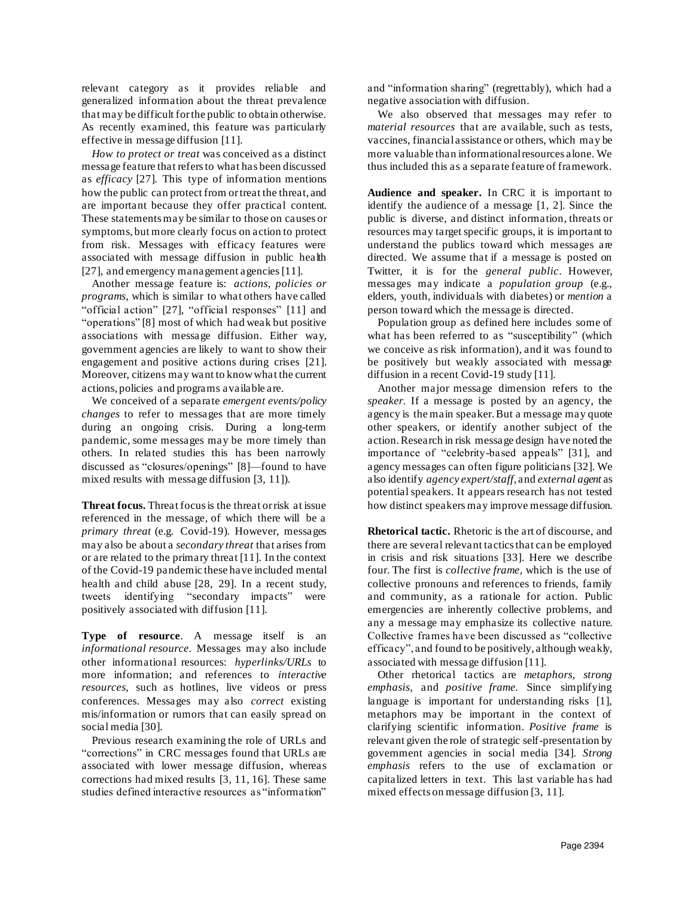relevant category as it provides reliable and generalized information about the threat prevalence that may be difficult for the public to obtain otherwise. As recently examined, this feature was particularly effective in message diffusion [11].

*How to protect or treat* was conceived as a distinct message feature that refers to what has been discussed as *efficacy* [27]*.* This type of information mentions how the public can protect from or treat the threat, and are important because they offer practical content. These statements may be similar to those on causes or symptoms, but more clearly focus on action to protect from risk. Messages with efficacy features were associated with message diffusion in public health [27], and emergency management agencies [11].

Another message feature is: *actions, policies or programs*, which is similar to what others have called "official action" [27], "official responses" [11] and "operations" [8] most of which had weak but positive associations with message diffusion. Either way, government agencies are likely to want to show their engagement and positive actions during crises [21]. Moreover, citizens may want to know what the current actions, policies and programs available are.

We conceived of a separate *emergent events/policy changes* to refer to messages that are more timely during an ongoing crisis. During a long-term pandemic, some messages may be more timely than others. In related studies this has been narrowly discussed as "closures/openings" [8]—found to have mixed results with message diffusion [3, 11]).

**Threat focus.** Threat focus is the threat or risk at issue referenced in the message, of which there will be a *primary threat* (e.g. Covid-19). However, messages may also be about a *secondary threat* that arises from or are related to the primary threat [11]. In the context of the Covid-19 pandemic these have included mental health and child abuse [28, 29]. In a recent study, tweets identifying "secondary impacts" were positively associated with diffusion [11].

**Type of resource**. A message itself is an *informational resource*. Messages may also include other informational resources: *hyperlinks/URLs* to more information; and references to *interactive resources*, such as hotlines, live videos or press conferences. Messages may also *correct* existing mis/information or rumors that can easily spread on social media [30].

Previous research examining the role of URLs and "corrections" in CRC messages found that URLs are associated with lower message diffusion, whereas corrections had mixed results [3, 11, 16]. These same studies defined interactive resources as "information"

and "information sharing" (regrettably), which had a negative association with diffusion.

We also observed that messages may refer to *material resources* that are available, such as tests, vaccines, financial assistance or others, which may be more valuable than informational resources alone. We thus included this as a separate feature of framework.

**Audience and speaker.** In CRC it is important to identify the audience of a message [1, 2]. Since the public is diverse, and distinct information, threats or resources may target specific groups, it is important to understand the publics toward which messages are directed. We assume that if a message is posted on Twitter, it is for the *general public*. However, messages may indicate a *population group* (e.g., elders, youth, individuals with diabetes) or *mention* a person toward which the message is directed.

Population group as defined here includes some of what has been referred to as "susceptibility" (which we conceive as risk information), and it was found to be positively but weakly associated with message diffusion in a recent Covid-19 study [11].

Another major message dimension refers to the *speaker.* If a message is posted by an agency, the agency is the main speaker. But a message may quote other speakers, or identify another subject of the action. Research in risk message design have noted the importance of "celebrity-based appeals" [31], and agency messages can often figure politicians [32]. We also identify *agency expert/staff,* and *external agent* as potential speakers. It appears research has not tested how distinct speakers may improve message diffusion.

**Rhetorical tactic.** Rhetoric is the art of discourse, and there are several relevant tactics that can be employed in crisis and risk situations [33]. Here we describe four. The first is *collective frame,* which is the use of collective pronouns and references to friends, family and community, as a rationale for action. Public emergencies are inherently collective problems, and any a message may emphasize its collective nature. Collective frames have been discussed as "collective efficacy", and found to be positively, although weakly, associated with message diffusion [11].

Other rhetorical tactics are *metaphors, strong emphasis,* and *positive frame.* Since simplifying language is important for understanding risks [1], metaphors may be important in the context of clarifying scientific information. *Positive frame* is relevant given the role of strategic self-presentation by government agencies in social media [34]. *Strong emphasis* refers to the use of exclamation or capitalized letters in text. This last variable has had mixed effects on message diffusion [3, 11].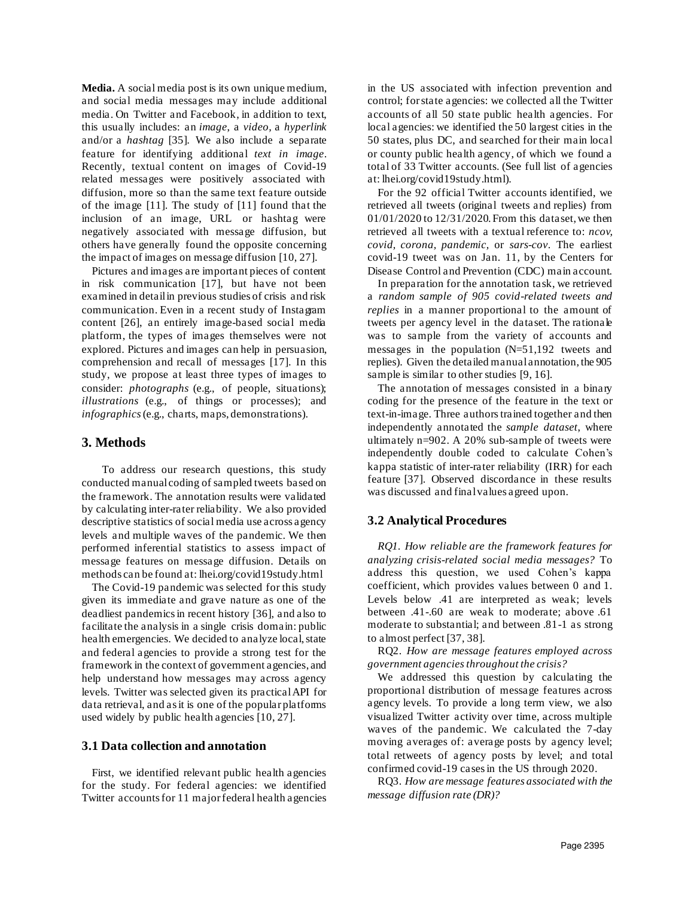**Media.** A social media post is its own unique medium, and social media messages may include additional media. On Twitter and Facebook, in addition to text, this usually includes: an *image*, a *video,* a *hyperlink* and/or a *hashtag* [35]*.* We also include a separate feature for identifying additional *text in image*. Recently, textual content on images of Covid-19 related messages were positively associated with diffusion, more so than the same text feature outside of the image [11]. The study of [11] found that the inclusion of an image, URL or hashtag were negatively associated with message diffusion, but others have generally found the opposite concerning the impact of images on message diffusion [10, 27].

Pictures and images are important pieces of content in risk communication [17], but have not been examined in detail in previous studies of crisis and risk communication. Even in a recent study of Instagram content [26], an entirely image-based social media platform, the types of images themselves were not explored. Pictures and images can help in persuasion, comprehension and recall of messages [17]. In this study, we propose at least three types of images to consider: *photographs* (e.g., of people, situations); *illustrations* (e.g., of things or processes); and *infographics* (e.g., charts, maps, demonstrations).

## **3. Methods**

To address our research questions, this study conducted manual coding of sampled tweets based on the framework. The annotation results were validated by calculating inter-rater reliability. We also provided descriptive statistics of social media use across agency levels and multiple waves of the pandemic. We then performed inferential statistics to assess impact of message features on message diffusion. Details on methods can be found at: lhei.org/covid19study.html

The Covid-19 pandemic was selected for this study given its immediate and grave nature as one of the deadliest pandemics in recent history [36], and also to facilitate the analysis in a single crisis domain: public health emergencies. We decided to analyze local, state and federal agencies to provide a strong test for the framework in the context of government agencies, and help understand how messages may across agency levels. Twitter was selected given its practical API for data retrieval, and as it is one of the popular platforms used widely by public health agencies [10, 27].

#### **3.1 Data collection and annotation**

First, we identified relevant public health agencies for the study. For federal agencies: we identified Twitter accounts for 11 major federal health agencies in the US associated with infection prevention and control; for state agencies: we collected all the Twitter accounts of all 50 state public health agencies. For local agencies: we identified the 50 largest cities in the 50 states, plus DC, and searched for their main local or county public health agency, of which we found a total of 33 Twitter accounts. (See full list of agencies at: lhei.org/covid19study.html).

For the 92 official Twitter accounts identified, we retrieved all tweets (original tweets and replies) from 01/01/2020 to 12/31/2020. From this dataset, we then retrieved all tweets with a textual reference to: *ncov, covid, corona, pandemic,* or *sars-cov*. The earliest covid-19 tweet was on Jan. 11, by the Centers for Disease Control and Prevention (CDC) main account.

In preparation for the annotation task, we retrieved a *random sample of 905 covid-related tweets and replies* in a manner proportional to the amount of tweets per agency level in the dataset. The rationale was to sample from the variety of accounts and messages in the population (N=51,192 tweets and replies). Given the detailed manual annotation, the 905 sample is similar to other studies [9, 16].

The annotation of messages consisted in a binary coding for the presence of the feature in the text or text-in-image. Three authors trained together and then independently annotated the *sample dataset*, where ultimately n=902. A 20% sub-sample of tweets were independently double coded to calculate Cohen's kappa statistic of inter-rater reliability (IRR) for each feature [37]. Observed discordance in these results was discussed and final values agreed upon.

### **3.2 Analytical Procedures**

*RQ1. How reliable are the framework features for analyzing crisis-related social media messages?* To address this question, we used Cohen's kappa coefficient, which provides values between 0 and 1. Levels below .41 are interpreted as weak; levels between .41-.60 are weak to moderate; above .61 moderate to substantial; and between .81-1 as strong to almost perfect [37, 38].

RQ2. *How are message features employed across government agenciesthroughout the crisis?*

We addressed this question by calculating the proportional distribution of message features across agency levels. To provide a long term view, we also visualized Twitter activity over time, across multiple waves of the pandemic. We calculated the 7-day moving averages of: average posts by agency level; total retweets of agency posts by level; and total confirmed covid-19 cases in the US through 2020.

RQ3. *How are message features associated with the message diffusion rate (DR)?*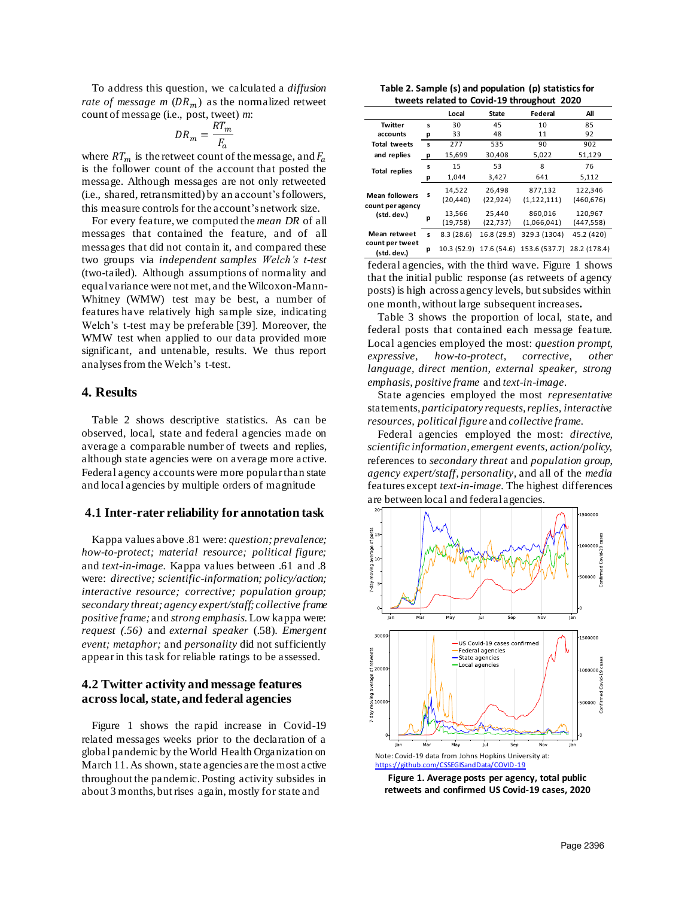To address this question, we calculated a *diffusion rate of message m*  $(DR_m)$  as the normalized retweet count of message (i.e., post, tweet) *m*:

$$
DR_m = \frac{RT_m}{F_a}
$$

where  $RT_m$  is the retweet count of the message, and  $F_a$ is the follower count of the account that posted the message. Although messages are not only retweeted (i.e., shared, retransmitted) by an account's followers, this measure controls for the account's network size.

For every feature, we computed the *mean DR* of all messages that contained the feature, and of all messages that did not contain it, and compared these two groups via *independent samples Welch's t-test*  (two-tailed). Although assumptions of normality and equal variance were not met, and the Wilcoxon-Mann-Whitney (WMW) test may be best, a number of features have relatively high sample size, indicating Welch's t-test may be preferable [39]. Moreover, the WMW test when applied to our data provided more significant, and untenable, results. We thus report analyses from the Welch's t-test.

### **4. Results**

Table 2 shows descriptive statistics. As can be observed, local, state and federal agencies made on average a comparable number of tweets and replies, although state agencies were on average more active. Federal agency accounts were more popular than state and local agencies by multiple orders of magnitude

#### **4.1 Inter-rater reliability for annotation task**

Kappa values above .81 were: *question; prevalence; how-to-protect; material resource; political figure;*  and *text-in-image.* Kappa values between .61 and .8 were: *directive; scientific-information; policy/action; interactive resource; corrective; population group; secondary threat; agency expert/staff; collective frame positive frame;* and *strong emphasis.* Low kappa were: *request (.56)* and *external speaker* (.58). *Emergent event; metaphor;* and *personality* did not sufficiently appear in this task for reliable ratings to be assessed.

### **4.2 Twitter activity and message features across local, state, and federal agencies**

Figure 1 shows the rapid increase in Covid-19 related messages weeks prior to the declaration of a global pandemic by the World Health Organization on March 11. As shown, state agencies are the most active throughout the pandemic. Posting activity subsides in about 3 months, but rises again, mostly for state and

**Table 2. Sample (s) and population (p) statistics for tweets related to Covid-19 throughout 2020**

|                                 |   | Local               | State               | Federal                | All                   |
|---------------------------------|---|---------------------|---------------------|------------------------|-----------------------|
| <b>Twitter</b>                  | s | 30                  | 45                  | 10                     | 85                    |
| accounts                        | р | 33                  | 48                  | 11                     | 92                    |
| <b>Total tweets</b>             | s | 277                 | 535                 | 90                     | 902                   |
| and replies                     | р | 15,699              | 30,408              | 5,022                  | 51,129                |
| <b>Total replies</b>            | s | 15                  | 53                  | 8                      | 76                    |
|                                 | р | 1,044               | 3,427               | 641                    | 5,112                 |
| <b>Mean followers</b>           | s | 14,522<br>(20, 440) | 26,498<br>(22, 924) | 877,132<br>(1,122,111) | 122,346<br>(460, 676) |
| count per agency<br>(std. dev.) | p | 13,566<br>(19, 758) | 25,440<br>(22, 737) | 860,016<br>(1,066,041) | 120,967<br>(447, 558) |
| Mean retweet                    | s | 8.3(28.6)           | 16.8 (29.9)         | 329.3 (1304)           | 45.2 (420)            |
| count per tweet<br>(std. dev.)  | p | 10.3(52.9)          | 17.6 (54.6)         | 153.6 (537.7)          | 28.2 (178.4)          |

federal agencies, with the third wave. Figure 1 shows that the initial public response (as retweets of agency posts) is high across agency levels, but subsides within one month, without large subsequent increases**.** 

Table 3 shows the proportion of local, state, and federal posts that contained each message feature. Local agencies employed the most: *question prompt*, *expressive, how-to-protect, corrective, other language, direct mention, external speaker, strong emphasis, positive frame* and *text-in-image*.

State agencies employed the most *representative*  statements, *participatory requests, replies, interactive resources, political figure* and *collective frame.*

Federal agencies employed the most: *directive, scientific information, emergent events, action/policy,*  references to *secondary threat* and *population group*, *agency expert/staff, personality,* and all of the *media*  features except *text-in-image.* The highest differences are between local and federal agencies.



**Figure 1. Average posts per agency, total public retweets and confirmed US Covid-19 cases, 2020**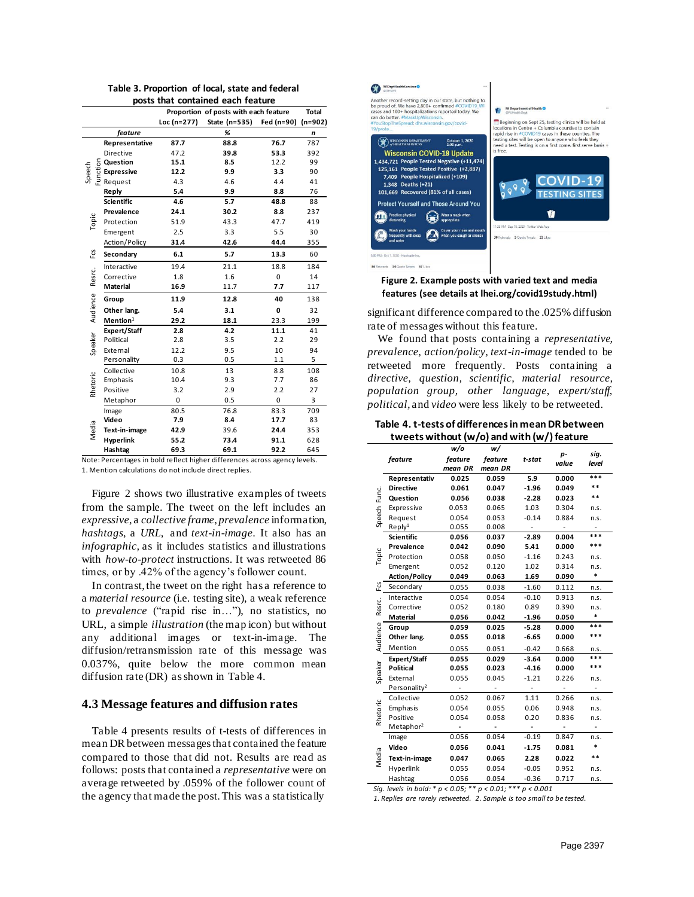| posts that contained each feature |                                                                              |             |               |            |           |  |
|-----------------------------------|------------------------------------------------------------------------------|-------------|---------------|------------|-----------|--|
|                                   | Proportion of posts with each feature<br><b>Total</b>                        |             |               |            |           |  |
|                                   |                                                                              | Loc (n=277) | State (n=535) | Fed (n=90) | $(n=902)$ |  |
|                                   | feature                                                                      |             | %             |            | n         |  |
|                                   | Representative                                                               | 87.7        | 88.8          | 76.7       | 787       |  |
|                                   | Directive                                                                    | 47.2        | 39.8          | 53.3       | 392       |  |
|                                   | <b>Question</b>                                                              | 15.1        | 8.5           | 12.2       | 99        |  |
| Speech                            | <b>G</b><br>Buestion<br>Buesting<br>Buesting<br>Request<br><b>Expressive</b> | 12.2        | 9.9           | 3.3        | 90        |  |
|                                   |                                                                              | 4.3         | 4.6           | 4.4        | 41        |  |
|                                   | Reply                                                                        | 5.4         | 9.9           | 8.8        | 76        |  |
|                                   | <b>Scientific</b>                                                            | 4.6         | 5.7           | 48.8       | 88        |  |
|                                   | Prevalence                                                                   | 24.1        | 30.2          | 8.8        | 237       |  |
| Topic                             | Protection                                                                   | 51.9        | 43.3          | 47.7       | 419       |  |
|                                   | Emergent                                                                     | 2.5         | 3.3           | 5.5        | 30        |  |
|                                   | Action/Policy                                                                | 31.4        | 42.6          | 44.4       | 355       |  |
| Fcs                               | Secondary                                                                    | 6.1         | 5.7           | 13.3       | 60        |  |
|                                   | Interactive                                                                  | 19.4        | 21.1          | 18.8       | 184       |  |
| Resrc.                            | Corrective                                                                   | 1.8         | 1.6           | 0          | 14        |  |
|                                   | <b>Material</b>                                                              | 16.9        | 11.7          | 7.7        | 117       |  |
| Audience                          | Group                                                                        | 11.9        | 12.8          | 40         | 138       |  |
|                                   | Other lang.                                                                  | 5.4         | 3.1           | 0          | 32        |  |
|                                   | Mention <sup>1</sup>                                                         | 29.2        | 18.1          | 23.3       | 199       |  |
|                                   | <b>Expert/Staff</b>                                                          | 2.8         | 4.2           | 11.1       | 41        |  |
| Speaker                           | Political                                                                    | 2.8         | 3.5           | 2.2        | 29        |  |
|                                   | External                                                                     | 12.2        | 9.5           | 10         | 94        |  |
|                                   | Personality                                                                  | 0.3         | 0.5           | 1.1        | 5         |  |
|                                   | Collective                                                                   | 10.8        | 13            | 8.8        | 108       |  |
|                                   | Emphasis                                                                     | 10.4        | 9.3           | 7.7        | 86        |  |
| Rhetoric                          | Positive                                                                     | 3.2         | 2.9           | 2.2        | 27        |  |
|                                   | Metaphor                                                                     | 0           | 0.5           | 0          | 3         |  |
|                                   | Image                                                                        | 80.5        | 76.8          | 83.3       | 709       |  |
|                                   | Video                                                                        | 7.9         | 8.4           | 17.7       | 83        |  |
| Media                             | Text-in-image                                                                | 42.9        | 39.6          | 24.4       | 353       |  |
|                                   | Hyperlink                                                                    | 55.2        | 73.4          | 91.1       | 628       |  |
|                                   | Hashtag                                                                      | 69.3        | 69.1          | 92.2       | 645       |  |

**Table 3. Proportion of local, state and federal** 

Note: Percentages in bold reflect higher differences across agency levels. 1. Mention calculations do not include direct replies.

Figure 2 shows two illustrative examples of tweets from the sample. The tweet on the left includes an *expressive*, a *collective frame*, *prevalence* information, *hashtags*, a *URL*, and *text-in-image*. It also has an *infographic,* as it includes statistics and illustrations with *how-to-protect* instructions. It was retweeted 86 times, or by .42% of the agency's follower count.

In contrast, the tweet on the right has a reference to a *material resource* (i.e. testing site), a weak reference to *prevalence* ("rapid rise in…"), no statistics, no URL, a simple *illustration* (the map icon) but without any additional images or text-in-image. The diffusion/retransmission rate of this message was 0.037%, quite below the more common mean diffusion rate (DR) as shown in Table 4.

#### **4.3 Message features and diffusion rates**

Table 4 presents results of t-tests of differences in mean DR between messages that contained the feature compared to those that did not. Results are read as follows: posts that contained a *representative* were on average retweeted by .059% of the follower count of the agency that made the post. This was a statistically



#### **Figure 2. Example posts with varied text and media features (see details at lhei.org/covid19study.html)**

significant difference compared to the .025% diffusion rate of messages without this feature.

We found that posts containing a *representative, prevalence, action/policy, text-in-image* tended to be retweeted more frequently*.* Posts containing a *directive, question, scientific, material resource, population group, other language, expert/staff, political,* and *video* were less likely to be retweeted.

#### **Table 4. t-tests of differences in mean DR between tweets without (w/o) and with (w/)feature**

|              |                          | <b>''''</b><br>w/o | w/      |         |       |       |
|--------------|--------------------------|--------------------|---------|---------|-------|-------|
| feature      |                          | feature            | feature | t-stat  | p-    | sig.  |
| Speech Func. |                          | mean DR            | mean DR |         | value | level |
|              | Representativ            | 0.025              | 0.059   | 5.9     | 0.000 | ***   |
|              | <b>Directive</b>         | 0.061              | 0.047   | $-1.96$ | 0.049 | **    |
|              | Question                 | 0.056              | 0.038   | $-2.28$ | 0.023 | **    |
|              | Expressive               | 0.053              | 0.065   | 1.03    | 0.304 | n.s.  |
|              | Request                  | 0.054              | 0.053   | $-0.14$ | 0.884 | n.s.  |
|              | Reply <sup>1</sup>       | 0.055              | 0.008   |         |       |       |
|              | <b>Scientific</b>        | 0.056              | 0.037   | $-2.89$ | 0.004 | ***   |
|              | Prevalence               | 0.042              | 0.090   | 5.41    | 0.000 | ***   |
| Topic        | Protection               | 0.058              | 0.050   | $-1.16$ | 0.243 | n.s.  |
|              | Emergent                 | 0.052              | 0.120   | 1.02    | 0.314 | n.s.  |
|              | <b>Action/Policy</b>     | 0.049              | 0.063   | 1.69    | 0.090 | *     |
| Fcs          | Secondary                | 0.055              | 0.038   | $-1.60$ | 0.112 | n.s.  |
|              | Interactive              | 0.054              | 0.054   | $-0.10$ | 0.913 | n.s.  |
| Resrc.       | Corrective               | 0.052              | 0.180   | 0.89    | 0.390 | n.s.  |
|              | <b>Material</b>          | 0.056              | 0.042   | $-1.96$ | 0.050 | *     |
|              | Group                    | 0.059              | 0.025   | $-5.28$ | 0.000 | ***   |
| Audience     | Other lang.              | 0.055              | 0.018   | $-6.65$ | 0.000 | ***   |
|              | Mention                  | 0.055              | 0.051   | $-0.42$ | 0.668 | n.s.  |
|              | <b>Expert/Staff</b>      | 0.055              | 0.029   | $-3.64$ | 0.000 | ***   |
|              | <b>Political</b>         | 0.055              | 0.023   | $-4.16$ | 0.000 | ***   |
| Speaker      | External                 | 0.055              | 0.045   | $-1.21$ | 0.226 | n.s.  |
|              | Personality <sup>2</sup> |                    |         |         |       |       |
| Rhetoric     | Collective               | 0.052              | 0.067   | 1.11    | 0.266 | n.s.  |
|              | Emphasis                 | 0.054              | 0.055   | 0.06    | 0.948 | n.s.  |
|              | Positive                 | 0.054              | 0.058   | 0.20    | 0.836 | n.s.  |
|              | Metaphor <sup>2</sup>    |                    |         |         |       |       |
|              | Image                    | 0.056              | 0.054   | $-0.19$ | 0.847 | n.s.  |
|              | Video                    | 0.056              | 0.041   | $-1.75$ | 0.081 | *     |
| Media        | Text-in-image            | 0.047              | 0.065   | 2.28    | 0.022 | **    |
|              | Hyperlink                | 0.055              | 0.054   | $-0.05$ | 0.952 | n.s.  |
|              | Hashtag                  | 0.056              | 0.054   | $-0.36$ | 0.717 | n.s.  |

*Sig. levels in bold: \* p < 0.05; \*\* p < 0.01; \*\*\* p < 0.001*

*1. Replies are rarely retweeted. 2. Sample is too small to be tested.*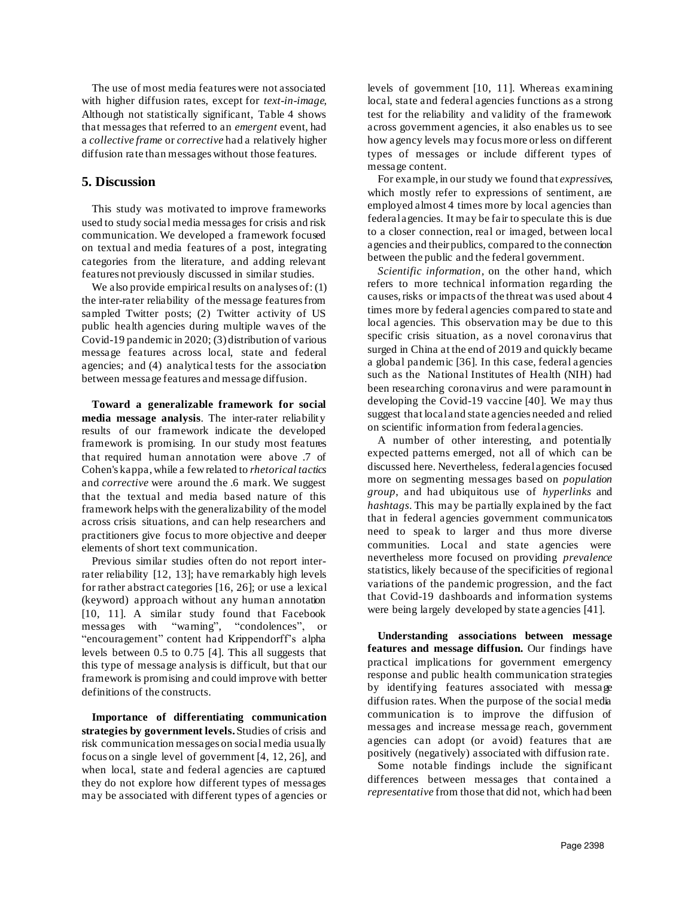The use of most media features were not associated with higher diffusion rates, except for *text-in-image,* Although not statistically significant, Table 4 shows that messages that referred to an *emergent* event, had a *collective frame* or *corrective* had a relatively higher diffusion rate than messages without those features.

### **5. Discussion**

This study was motivated to improve frameworks used to study social media messages for crisis and risk communication. We developed a framework focused on textual and media features of a post, integrating categories from the literature, and adding relevant features not previously discussed in similar studies.

We also provide empirical results on analyses of: (1) the inter-rater reliability of the message features from sampled Twitter posts; (2) Twitter activity of US public health agencies during multiple waves of the Covid-19 pandemic in 2020; (3) distribution of various message features across local, state and federal agencies; and (4) analytical tests for the association between message features and message diffusion.

**Toward a generalizable framework for social media message analysis**. The inter-rater reliability results of our framework indicate the developed framework is promising. In our study most features that required human annotation were above .7 of Cohen's kappa, while a few related to *rhetorical tactics* and *corrective* were around the .6 mark. We suggest that the textual and media based nature of this framework helps with the generalizability of the model across crisis situations, and can help researchers and practitioners give focus to more objective and deeper elements of short text communication.

Previous similar studies often do not report interrater reliability [12, 13]; have remarkably high levels for rather abstract categories [16, 26]; or use a lexical (keyword) approach without any human annotation [10, 11]. A similar study found that Facebook messages with "warning", "condolences", or "encouragement" content had Krippendorff's alpha levels between 0.5 to 0.75 [4]. This all suggests that this type of message analysis is difficult, but that our framework is promising and could improve with better definitions of the constructs.

**Importance of differentiating communication strategies by government levels.** Studies of crisis and risk communication messages on social media usually focus on a single level of government [4, 12, 26], and when local, state and federal agencies are captured they do not explore how different types of messages may be associated with different types of agencies or levels of government [10, 11]. Whereas examining local, state and federal agencies functions as a strong test for the reliability and validity of the framework across government agencies, it also enables us to see how agency levels may focus more or less on different types of messages or include different types of message content.

For example, in our study we found that *expressives*, which mostly refer to expressions of sentiment, are employed almost 4 times more by local agencies than federal agencies. It may be fair to speculate this is due to a closer connection, real or imaged, between local agencies and their publics, compared to the connection between the public and the federal government.

*Scientific information,* on the other hand, which refers to more technical information regarding the causes, risks or impacts of the threat was used about 4 times more by federal agencies compared to state and local agencies. This observation may be due to this specific crisis situation, as a novel coronavirus that surged in China at the end of 2019 and quickly became a global pandemic [36]. In this case, federal agencies such as the National Institutes of Health (NIH) had been researching coronavirus and were paramount in developing the Covid-19 vaccine [40]. We may thus suggest that local and state agencies needed and relied on scientific information from federal agencies.

A number of other interesting, and potentially expected patterns emerged, not all of which can be discussed here. Nevertheless, federal agencies focused more on segmenting messages based on *population group*, and had ubiquitous use of *hyperlinks* and *hashtags*. This may be partially explained by the fact that in federal agencies government communicators need to speak to larger and thus more diverse communities. Local and state agencies were nevertheless more focused on providing *prevalence* statistics, likely because of the specificities of regional variations of the pandemic progression, and the fact that Covid-19 dashboards and information systems were being largely developed by state agencies [41].

**Understanding associations between message features and message diffusion.** Our findings have practical implications for government emergency response and public health communication strategies by identifying features associated with message diffusion rates. When the purpose of the social media communication is to improve the diffusion of messages and increase message reach, government agencies can adopt (or avoid) features that are positively (negatively) associated with diffusion rate.

Some notable findings include the significant differences between messages that contained a *representative* from those that did not, which had been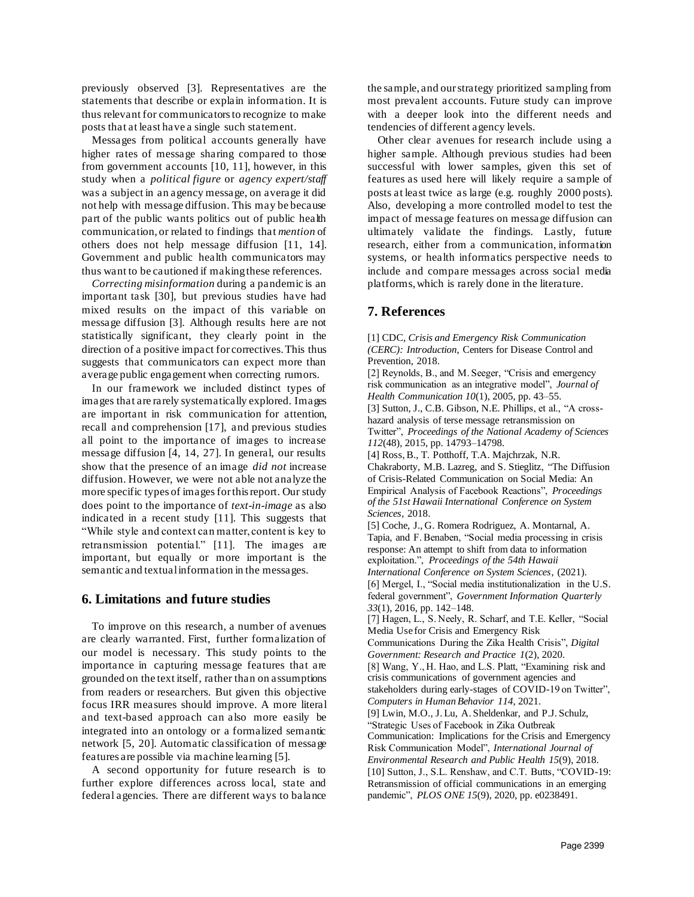previously observed [3]. Representatives are the statements that describe or explain information. It is thus relevant for communicators to recognize to make posts that at least have a single such statement.

Messages from political accounts generally have higher rates of message sharing compared to those from government accounts [10, 11], however, in this study when a *political figure* or *agency expert/staff*  was a subject in an agency message, on average it did not help with message diffusion. This may be because part of the public wants politics out of public health communication, or related to findings that *mention* of others does not help message diffusion [11, 14]. Government and public health communicators may thus want to be cautioned if making these references.

*Correcting misinformation* during a pandemic is an important task [30], but previous studies have had mixed results on the impact of this variable on message diffusion [3]. Although results here are not statistically significant, they clearly point in the direction of a positive impact for correctives.This thus suggests that communicators can expect more than average public engagement when correcting rumors.

In our framework we included distinct types of images that are rarely systematically explored. Images are important in risk communication for attention, recall and comprehension [17], and previous studies all point to the importance of images to increase message diffusion [4, 14, 27]. In general, our results show that the presence of an image *did not* increase diffusion. However, we were not able not analyze the more specific types of images for this report. Our study does point to the importance of *text-in-image* as also indicated in a recent study [11]. This suggests that "While style and context can matter, content is key to retransmission potential." [11]. The images are important, but equally or more important is the semantic and textual information in the messages.

### **6. Limitations and future studies**

To improve on this research, a number of avenues are clearly warranted. First, further formalization of our model is necessary. This study points to the importance in capturing message features that are grounded on the text itself, rather than on assumptions from readers or researchers. But given this objective focus IRR measures should improve. A more literal and text-based approach can also more easily be integrated into an ontology or a formalized semantic network [5, 20]. Automatic classification of message features are possible via machine learning [5].

A second opportunity for future research is to further explore differences across local, state and federal agencies. There are different ways to balance the sample, and our strategy prioritized sampling from most prevalent accounts. Future study can improve with a deeper look into the different needs and tendencies of different agency levels.

Other clear avenues for research include using a higher sample. Although previous studies had been successful with lower samples, given this set of features as used here will likely require a sample of posts at least twice as large (e.g. roughly 2000 posts). Also, developing a more controlled model to test the impact of message features on message diffusion can ultimately validate the findings. Lastly, future research, either from a communication, information systems, or health informatics perspective needs to include and compare messages across social media platforms, which is rarely done in the literature.

# **7. References**

[1] CDC, *Crisis and Emergency Risk Communication (CERC): Introduction*, Centers for Disease Control and Prevention, 2018.

[2] Reynolds, B., and M. Seeger, "Crisis and emergency risk communication as an integrative model", *Journal of Health Communication 10*(1), 2005, pp. 43–55.

[3] Sutton, J., C.B. Gibson, N.E. Phillips, et al., "A crosshazard analysis of terse message retransmission on

Twitter", *Proceedings of the National Academy of Sciences 112*(48), 2015, pp. 14793–14798.

[4] Ross, B., T. Potthoff, T.A. Majchrzak, N.R. Chakraborty, M.B. Lazreg, and S. Stieglitz, "The Diffusion of Crisis-Related Communication on Social Media: An Empirical Analysis of Facebook Reactions", *Proceedings of the 51st Hawaii International Conference on System Sciences*, 2018.

[5] Coche, J., G. Romera Rodriguez, A. Montarnal, A. Tapia, and F. Benaben, "Social media processing in crisis response: An attempt to shift from data to information exploitation.", *Proceedings of the 54th Hawaii International Conference on System Sciences*, (2021). [6] Mergel, I., "Social media institutionalization in the U.S. federal government", *Government Information Quarterly*

*33*(1), 2016, pp. 142–148. [7] Hagen, L., S. Neely, R. Scharf, and T.E. Keller, "Social Media Use for Crisis and Emergency Risk

Communications During the Zika Health Crisis", *Digital Government: Research and Practice 1*(2), 2020.

[8] Wang, Y., H. Hao, and L.S. Platt, "Examining risk and crisis communications of government agencies and stakeholders during early-stages of COVID-19 on Twitter",

*Computers in Human Behavior 114*, 2021.

[9] Lwin, M.O., J. Lu, A. Sheldenkar, and P.J. Schulz,

"Strategic Uses of Facebook in Zika Outbreak Communication: Implications for the Crisis and Emergency Risk Communication Model", *International Journal of Environmental Research and Public Health 15*(9), 2018.

[10] Sutton, J., S.L. Renshaw, and C.T. Butts, "COVID-19: Retransmission of official communications in an emerging pandemic", *PLOS ONE 15*(9), 2020, pp. e0238491.